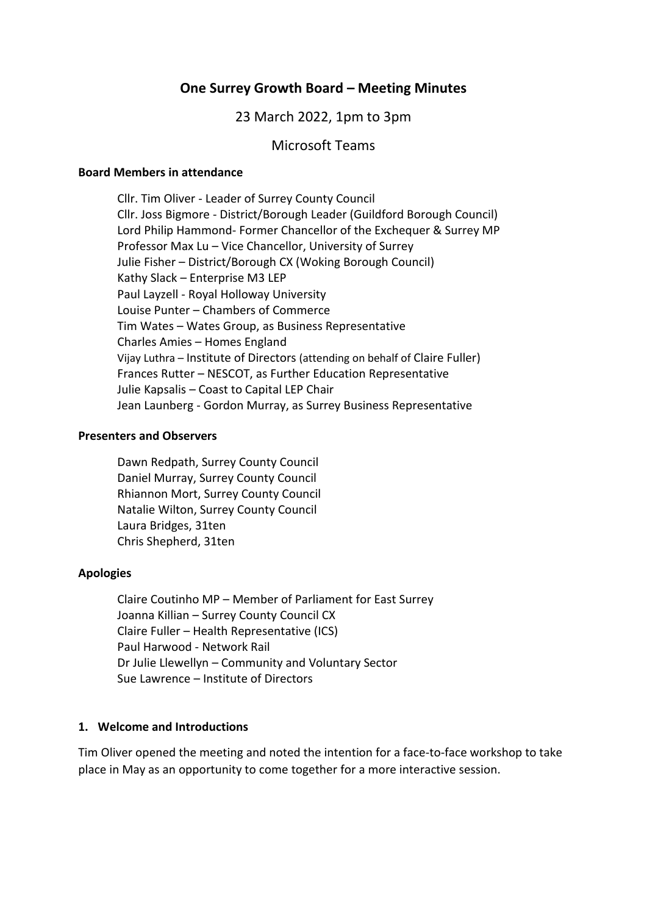# **One Surrey Growth Board – Meeting Minutes**

### 23 March 2022, 1pm to 3pm

#### Microsoft Teams

#### **Board Members in attendance**

Cllr. Tim Oliver - Leader of Surrey County Council Cllr. Joss Bigmore - District/Borough Leader (Guildford Borough Council) Lord Philip Hammond- Former Chancellor of the Exchequer & Surrey MP Professor Max Lu – Vice Chancellor, University of Surrey Julie Fisher – District/Borough CX (Woking Borough Council) Kathy Slack – Enterprise M3 LEP Paul Layzell - Royal Holloway University Louise Punter – Chambers of Commerce Tim Wates – Wates Group, as Business Representative Charles Amies – Homes England Vijay Luthra – Institute of Directors (attending on behalf of Claire Fuller) Frances Rutter – NESCOT, as Further Education Representative Julie Kapsalis – Coast to Capital LEP Chair Jean Launberg - Gordon Murray, as Surrey Business Representative

#### **Presenters and Observers**

Dawn Redpath, Surrey County Council Daniel Murray, Surrey County Council Rhiannon Mort, Surrey County Council Natalie Wilton, Surrey County Council Laura Bridges, 31ten Chris Shepherd, 31ten

#### **Apologies**

Claire Coutinho MP – Member of Parliament for East Surrey Joanna Killian – Surrey County Council CX Claire Fuller – Health Representative (ICS) Paul Harwood - Network Rail Dr Julie Llewellyn – Community and Voluntary Sector Sue Lawrence – Institute of Directors

#### **1. Welcome and Introductions**

Tim Oliver opened the meeting and noted the intention for a face-to-face workshop to take place in May as an opportunity to come together for a more interactive session.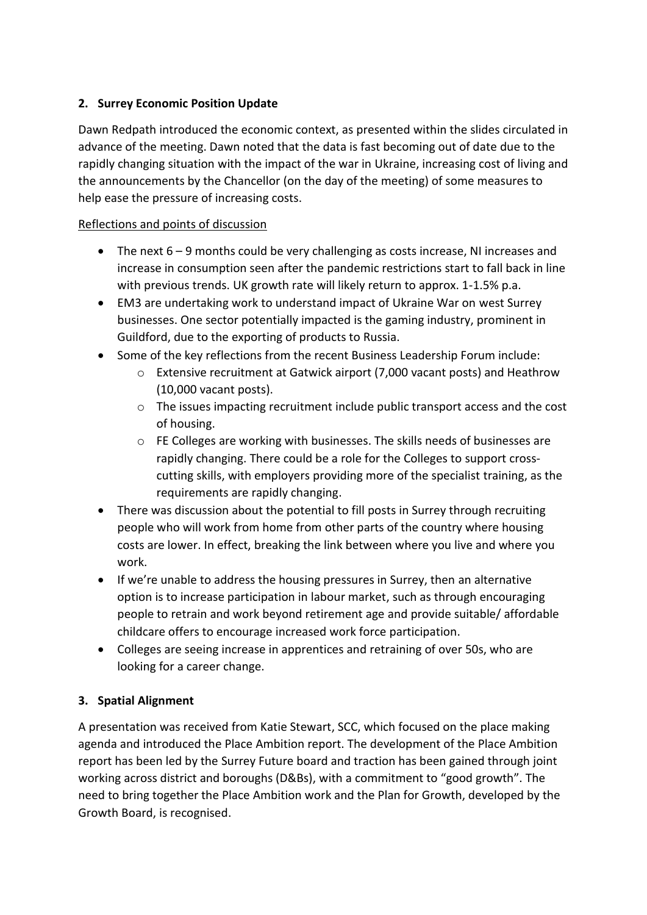# **2. Surrey Economic Position Update**

Dawn Redpath introduced the economic context, as presented within the slides circulated in advance of the meeting. Dawn noted that the data is fast becoming out of date due to the rapidly changing situation with the impact of the war in Ukraine, increasing cost of living and the announcements by the Chancellor (on the day of the meeting) of some measures to help ease the pressure of increasing costs.

# Reflections and points of discussion

- The next 6 9 months could be very challenging as costs increase, NI increases and increase in consumption seen after the pandemic restrictions start to fall back in line with previous trends. UK growth rate will likely return to approx. 1-1.5% p.a.
- EM3 are undertaking work to understand impact of Ukraine War on west Surrey businesses. One sector potentially impacted is the gaming industry, prominent in Guildford, due to the exporting of products to Russia.
- Some of the key reflections from the recent Business Leadership Forum include:
	- o Extensive recruitment at Gatwick airport (7,000 vacant posts) and Heathrow (10,000 vacant posts).
	- $\circ$  The issues impacting recruitment include public transport access and the cost of housing.
	- o FE Colleges are working with businesses. The skills needs of businesses are rapidly changing. There could be a role for the Colleges to support crosscutting skills, with employers providing more of the specialist training, as the requirements are rapidly changing.
- There was discussion about the potential to fill posts in Surrey through recruiting people who will work from home from other parts of the country where housing costs are lower. In effect, breaking the link between where you live and where you work.
- If we're unable to address the housing pressures in Surrey, then an alternative option is to increase participation in labour market, such as through encouraging people to retrain and work beyond retirement age and provide suitable/ affordable childcare offers to encourage increased work force participation.
- Colleges are seeing increase in apprentices and retraining of over 50s, who are looking for a career change.

# **3. Spatial Alignment**

A presentation was received from Katie Stewart, SCC, which focused on the place making agenda and introduced the Place Ambition report. The development of the Place Ambition report has been led by the Surrey Future board and traction has been gained through joint working across district and boroughs (D&Bs), with a commitment to "good growth". The need to bring together the Place Ambition work and the Plan for Growth, developed by the Growth Board, is recognised.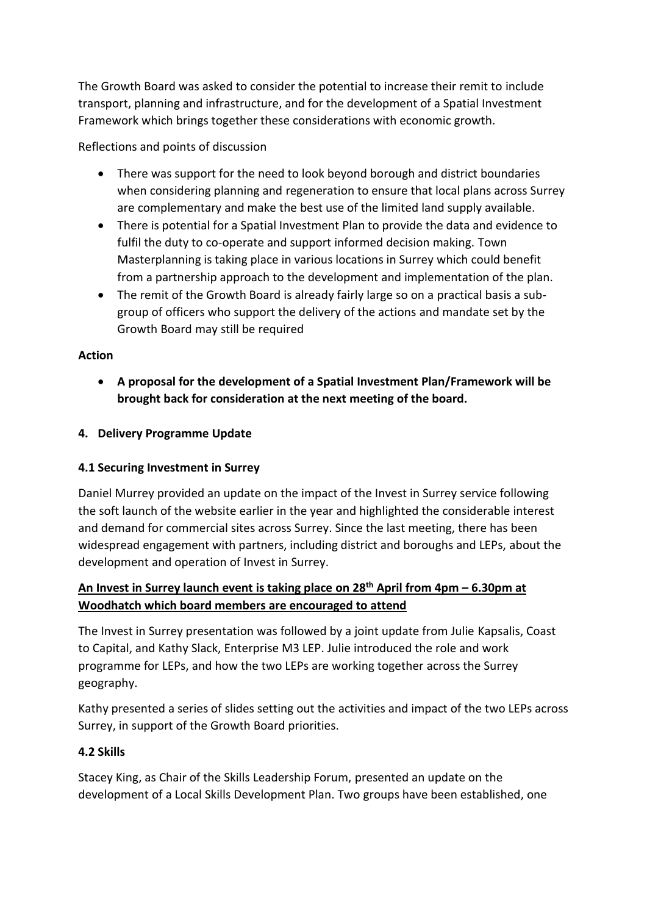The Growth Board was asked to consider the potential to increase their remit to include transport, planning and infrastructure, and for the development of a Spatial Investment Framework which brings together these considerations with economic growth.

Reflections and points of discussion

- There was support for the need to look beyond borough and district boundaries when considering planning and regeneration to ensure that local plans across Surrey are complementary and make the best use of the limited land supply available.
- There is potential for a Spatial Investment Plan to provide the data and evidence to fulfil the duty to co-operate and support informed decision making. Town Masterplanning is taking place in various locations in Surrey which could benefit from a partnership approach to the development and implementation of the plan.
- The remit of the Growth Board is already fairly large so on a practical basis a subgroup of officers who support the delivery of the actions and mandate set by the Growth Board may still be required

### **Action**

• **A proposal for the development of a Spatial Investment Plan/Framework will be brought back for consideration at the next meeting of the board.** 

### **4. Delivery Programme Update**

#### **4.1 Securing Investment in Surrey**

Daniel Murrey provided an update on the impact of the Invest in Surrey service following the soft launch of the website earlier in the year and highlighted the considerable interest and demand for commercial sites across Surrey. Since the last meeting, there has been widespread engagement with partners, including district and boroughs and LEPs, about the development and operation of Invest in Surrey.

# **An [Invest in Surrey launch event is taking place](https://investinsurrey.co.uk/business-awards-40-under-40/) on 28th April from 4pm – 6.30pm at Woodhatch [which board members are encouraged to attend](https://investinsurrey.co.uk/business-awards-40-under-40/)**

The Invest in Surrey presentation was followed by a joint update from Julie Kapsalis, Coast to Capital, and Kathy Slack, Enterprise M3 LEP. Julie introduced the role and work programme for LEPs, and how the two LEPs are working together across the Surrey geography.

Kathy presented a series of slides setting out the activities and impact of the two LEPs across Surrey, in support of the Growth Board priorities.

#### **4.2 Skills**

Stacey King, as Chair of the Skills Leadership Forum, presented an update on the development of a Local Skills Development Plan. Two groups have been established, one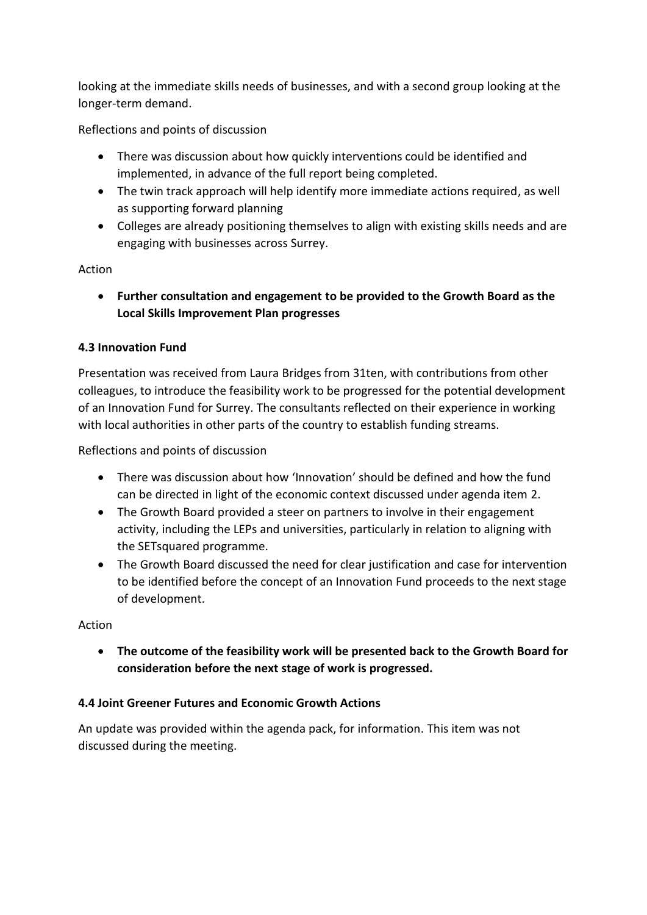looking at the immediate skills needs of businesses, and with a second group looking at the longer-term demand.

Reflections and points of discussion

- There was discussion about how quickly interventions could be identified and implemented, in advance of the full report being completed.
- The twin track approach will help identify more immediate actions required, as well as supporting forward planning
- Colleges are already positioning themselves to align with existing skills needs and are engaging with businesses across Surrey.

### Action

• **Further consultation and engagement to be provided to the Growth Board as the Local Skills Improvement Plan progresses**

### **4.3 Innovation Fund**

Presentation was received from Laura Bridges from 31ten, with contributions from other colleagues, to introduce the feasibility work to be progressed for the potential development of an Innovation Fund for Surrey. The consultants reflected on their experience in working with local authorities in other parts of the country to establish funding streams.

Reflections and points of discussion

- There was discussion about how 'Innovation' should be defined and how the fund can be directed in light of the economic context discussed under agenda item 2.
- The Growth Board provided a steer on partners to involve in their engagement activity, including the LEPs and universities, particularly in relation to aligning with the SETsquared programme.
- The Growth Board discussed the need for clear justification and case for intervention to be identified before the concept of an Innovation Fund proceeds to the next stage of development.

# Action

• **The outcome of the feasibility work will be presented back to the Growth Board for consideration before the next stage of work is progressed.** 

# **4.4 Joint Greener Futures and Economic Growth Actions**

An update was provided within the agenda pack, for information. This item was not discussed during the meeting.